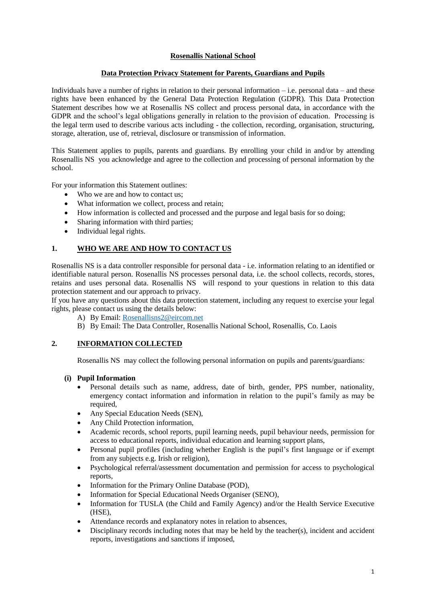## **Rosenallis National School**

## **Data Protection Privacy Statement for Parents, Guardians and Pupils**

Individuals have a number of rights in relation to their personal information – i.e. personal data – and these rights have been enhanced by the General Data Protection Regulation (GDPR). This Data Protection Statement describes how we at Rosenallis NS collect and process personal data, in accordance with the GDPR and the school's legal obligations generally in relation to the provision of education. Processing is the legal term used to describe various acts including - the collection, recording, organisation, structuring, storage, alteration, use of, retrieval, disclosure or transmission of information.

This Statement applies to pupils, parents and guardians. By enrolling your child in and/or by attending Rosenallis NS you acknowledge and agree to the collection and processing of personal information by the school.

For your information this Statement outlines:

- Who we are and how to contact us:
- What information we collect, process and retain;
- How information is collected and processed and the purpose and legal basis for so doing;
- Sharing information with third parties;
- Individual legal rights.

# **1. WHO WE ARE AND HOW TO CONTACT US**

Rosenallis NS is a data controller responsible for personal data - i.e. information relating to an identified or identifiable natural person. Rosenallis NS processes personal data, i.e. the school collects, records, stores, retains and uses personal data. Rosenallis NS will respond to your questions in relation to this data protection statement and our approach to privacy.

If you have any questions about this data protection statement, including any request to exercise your legal rights, please contact us using the details below:

- A) By Email: [Rosenallisns2@eircom.net](mailto:Rosenallisns2@eircom.net)
- B) By Email: The Data Controller, Rosenallis National School, Rosenallis, Co. Laois

## **2. INFORMATION COLLECTED**

Rosenallis NS may collect the following personal information on pupils and parents/guardians:

## **(i) Pupil Information**

- Personal details such as name, address, date of birth, gender, PPS number, nationality, emergency contact information and information in relation to the pupil's family as may be required,
- Any Special Education Needs (SEN),
- Any Child Protection information,
- Academic records, school reports, pupil learning needs, pupil behaviour needs, permission for access to educational reports, individual education and learning support plans,
- Personal pupil profiles (including whether English is the pupil's first language or if exempt from any subjects e.g. Irish or religion),
- Psychological referral/assessment documentation and permission for access to psychological reports,
- Information for the Primary Online Database (POD),
- Information for Special Educational Needs Organiser (SENO),
- Information for TUSLA (the Child and Family Agency) and/or the Health Service Executive (HSE),
- Attendance records and explanatory notes in relation to absences,
- Disciplinary records including notes that may be held by the teacher(s), incident and accident reports, investigations and sanctions if imposed,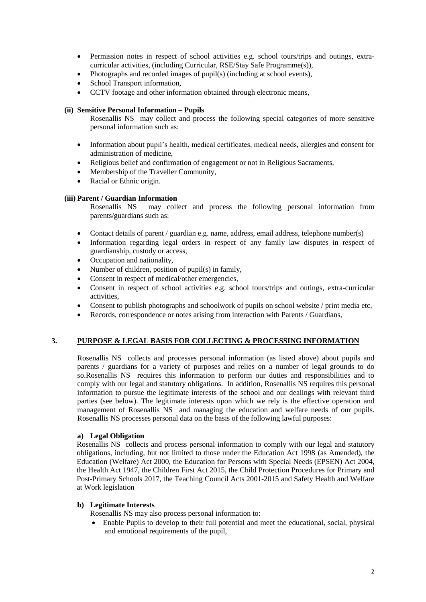- Permission notes in respect of school activities e.g. school tours/trips and outings, extracurricular activities, (including Curricular, RSE/Stay Safe Programme(s)),
- Photographs and recorded images of pupil(s) (including at school events),
- School Transport information,
- CCTV footage and other information obtained through electronic means,

## **(ii) Sensitive Personal Information – Pupils**

Rosenallis NS may collect and process the following special categories of more sensitive personal information such as:

- Information about pupil's health, medical certificates, medical needs, allergies and consent for administration of medicine,
- Religious belief and confirmation of engagement or not in Religious Sacraments,
- Membership of the Traveller Community,
- Racial or Ethnic origin.

## **(iii) Parent / Guardian Information**

Rosenallis NS may collect and process the following personal information from parents/guardians such as:

- Contact details of parent / guardian e.g. name, address, email address, telephone number(s)
- Information regarding legal orders in respect of any family law disputes in respect of guardianship, custody or access,
- Occupation and nationality,
- Number of children, position of pupil(s) in family,
- Consent in respect of medical/other emergencies,
- Consent in respect of school activities e.g. school tours/trips and outings, extra-curricular activities,
- Consent to publish photographs and schoolwork of pupils on school website / print media etc,
- Records, correspondence or notes arising from interaction with Parents / Guardians,

## **3. PURPOSE & LEGAL BASIS FOR COLLECTING & PROCESSING INFORMATION**

Rosenallis NS collects and processes personal information (as listed above) about pupils and parents / guardians for a variety of purposes and relies on a number of legal grounds to do so.Rosenallis NS requires this information to perform our duties and responsibilities and to comply with our legal and statutory obligations. In addition, Rosenallis NS requires this personal information to pursue the legitimate interests of the school and our dealings with relevant third parties (see below). The legitimate interests upon which we rely is the effective operation and management of Rosenallis NS and managing the education and welfare needs of our pupils. Rosenallis NS processes personal data on the basis of the following lawful purposes:

## **a) Legal Obligation**

Rosenallis NS collects and process personal information to comply with our legal and statutory obligations, including, but not limited to those under the Education Act 1998 (as Amended), the Education (Welfare) Act 2000, the Education for Persons with Special Needs (EPSEN) Act 2004, the Health Act 1947, the Children First Act 2015, the Child Protection Procedures for Primary and Post-Primary Schools 2017, the Teaching Council Acts 2001-2015 and Safety Health and Welfare at Work legislation

## **b) Legitimate Interests**

Rosenallis NS may also process personal information to:

 Enable Pupils to develop to their full potential and meet the educational, social, physical and emotional requirements of the pupil,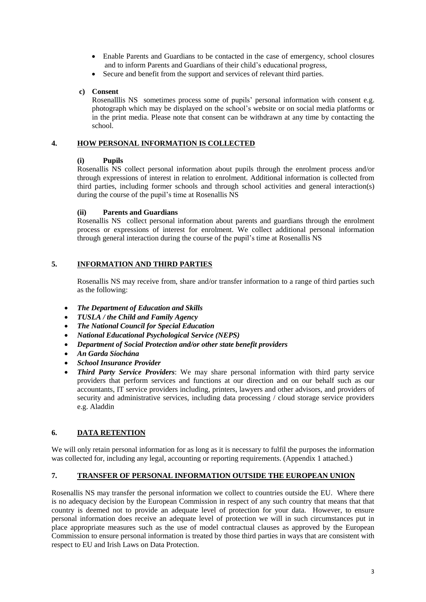- Enable Parents and Guardians to be contacted in the case of emergency, school closures and to inform Parents and Guardians of their child's educational progress,
- Secure and benefit from the support and services of relevant third parties.

#### **c) Consent**

Rosenalllis NS sometimes process some of pupils' personal information with consent e.g. photograph which may be displayed on the school's website or on social media platforms or in the print media. Please note that consent can be withdrawn at any time by contacting the school.

## **4. HOW PERSONAL INFORMATION IS COLLECTED**

#### **(i) Pupils**

Rosenallis NS collect personal information about pupils through the enrolment process and/or through expressions of interest in relation to enrolment. Additional information is collected from third parties, including former schools and through school activities and general interaction(s) during the course of the pupil's time at Rosenallis NS

#### **(ii) Parents and Guardians**

Rosenallis NS collect personal information about parents and guardians through the enrolment process or expressions of interest for enrolment. We collect additional personal information through general interaction during the course of the pupil's time at Rosenallis NS

# **5. INFORMATION AND THIRD PARTIES**

Rosenallis NS may receive from, share and/or transfer information to a range of third parties such as the following:

- *The Department of Education and Skills*
- *TUSLA / the Child and Family Agency*
- *The National Council for Special Education*
- *National Educational Psychological Service (NEPS)*
- *Department of Social Protection and/or other state benefit providers*
- *An Garda Síochána*
- *School Insurance Provider*
- *Third Party Service Providers*: We may share personal information with third party service providers that perform services and functions at our direction and on our behalf such as our accountants, IT service providers including, printers, lawyers and other advisors, and providers of security and administrative services, including data processing / cloud storage service providers e.g. Aladdin

## **6. DATA RETENTION**

We will only retain personal information for as long as it is necessary to fulfil the purposes the information was collected for, including any legal, accounting or reporting requirements. (Appendix 1 attached.)

## **7. TRANSFER OF PERSONAL INFORMATION OUTSIDE THE EUROPEAN UNION**

Rosenallis NS may transfer the personal information we collect to countries outside the EU. Where there is no adequacy decision by the European Commission in respect of any such country that means that that country is deemed not to provide an adequate level of protection for your data. However, to ensure personal information does receive an adequate level of protection we will in such circumstances put in place appropriate measures such as the use of model contractual clauses as approved by the European Commission to ensure personal information is treated by those third parties in ways that are consistent with respect to EU and Irish Laws on Data Protection.